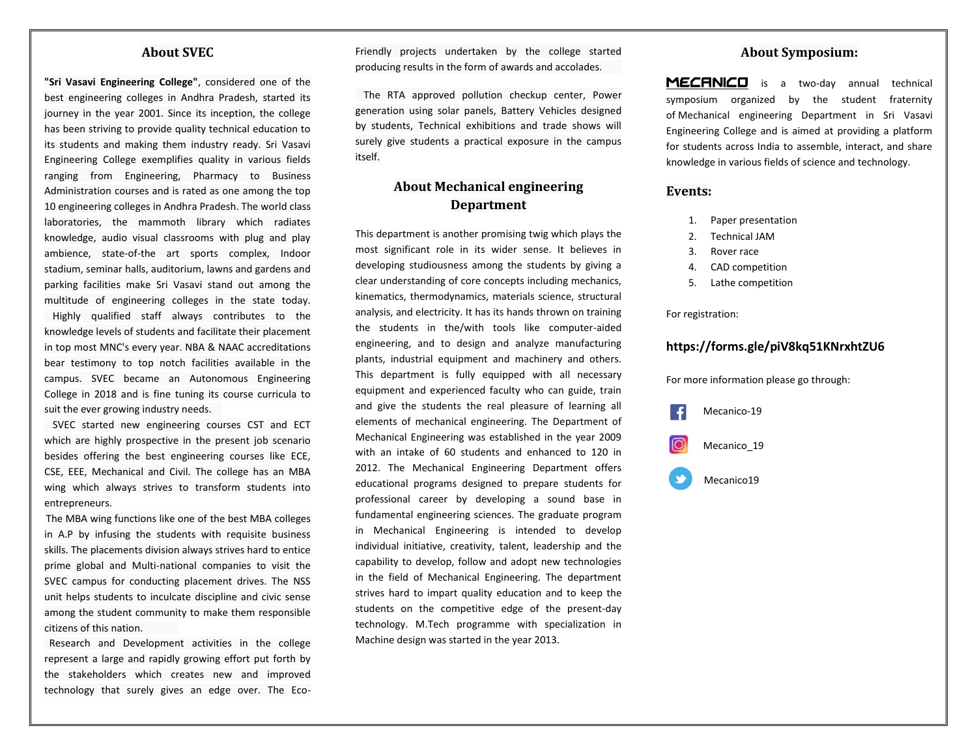#### **About SVEC**

**"Sri Vasavi Engineering College"**, considered one of the best engineering colleges in Andhra Pradesh, started its journey in the year 2001. Since its inception, the college has been striving to provide quality technical education to its students and making them industry ready. Sri Vasavi Engineering College exemplifies quality in various fields ranging from Engineering, Pharmacy to Business Administration courses and is rated as one among the top 10 engineering colleges in Andhra Pradesh. The world class laboratories, the mammoth library which radiates knowledge, audio visual classrooms with plug and play ambience, state-of-the art sports complex, Indoor stadium, seminar halls, auditorium, lawns and gardens and parking facilities make Sri Vasavi stand out among the multitude of engineering colleges in the state today. Highly qualified staff always contributes to the knowledge levels of students and facilitate their placement in top most MNC's every year. NBA & NAAC accreditations bear testimony to top notch facilities available in the campus. SVEC became an Autonomous Engineering College in 2018 and is fine tuning its course curricula to suit the ever growing industry needs.

 SVEC started new engineering courses CST and ECT which are highly prospective in the present job scenario besides offering the best engineering courses like ECE, CSE, EEE, Mechanical and Civil. The college has an MBA wing which always strives to transform students into entrepreneurs.

The MBA wing functions like one of the best MBA colleges in A.P by infusing the students with requisite business skills. The placements division always strives hard to entice prime global and Multi-national companies to visit the SVEC campus for conducting placement drives. The NSS unit helps students to inculcate discipline and civic sense among the student community to make them responsible citizens of this nation.

 Research and Development activities in the college represent a large and rapidly growing effort put forth by the stakeholders which creates new and improved technology that surely gives an edge over. The EcoFriendly projects undertaken by the college started producing results in the form of awards and accolades.

 The RTA approved pollution checkup center, Power generation using solar panels, Battery Vehicles designed by students, Technical exhibitions and trade shows will surely give students a practical exposure in the campus itself.

## **About Mechanical engineering Department**

This department is another promising twig which plays the most significant role in its wider sense. It believes in developing studiousness among the students by giving a clear understanding of core concepts including mechanics, kinematics, thermodynamics, materials science, structural analysis, and electricity. It has its hands thrown on training the students in the/with tools like computer-aided engineering, and to design and analyze manufacturing plants, industrial equipment and machinery and others. This department is fully equipped with all necessary equipment and experienced faculty who can guide, train and give the students the real pleasure of learning all elements of mechanical engineering. The Department of Mechanical Engineering was established in the year 2009 with an intake of 60 students and enhanced to 120 in 2012. The Mechanical Engineering Department offers educational programs designed to prepare students for professional career by developing a sound base in fundamental engineering sciences. The graduate program in Mechanical Engineering is intended to develop individual initiative, creativity, talent, leadership and the capability to develop, follow and adopt new technologies in the field of Mechanical Engineering. The department strives hard to impart quality education and to keep the students on the competitive edge of the present-day technology. M.Tech programme with specialization in Machine design was started in the year 2013.

#### **About Symposium:**

MECANICO is a two-day annual technical symposium organized by the student fraternity of Mechanical engineering Department in Sri Vasavi Engineering College and is aimed at providing a platform for students across India to assemble, interact, and share knowledge in various fields of science and technology.

#### **Events:**

- 1. Paper presentation
- 2. Technical JAM
- 3. Rover race
- 4. CAD competition
- 5. Lathe competition

#### For registration:

## **https://forms.gle/piV8kq51KNrxhtZU6**

For more information please go through:



Mecanico19